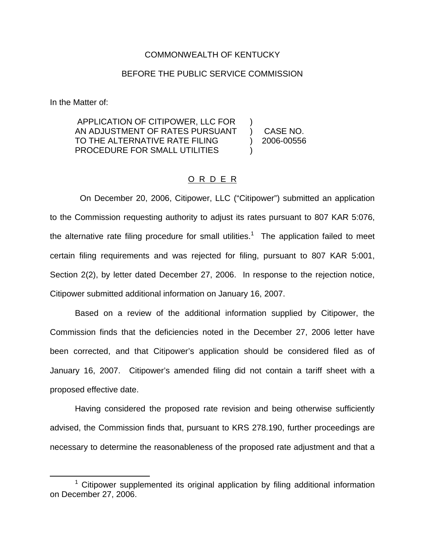### COMMONWEALTH OF KENTUCKY

### BEFORE THE PUBLIC SERVICE COMMISSION

In the Matter of:

APPLICATION OF CITIPOWER, LLC FOR ) AN ADJUSTMENT OF RATES PURSUANT ) CASE NO. TO THE ALTERNATIVE RATE FILING ) 2006-00556 PROCEDURE FOR SMALL UTILITIES

On December 20, 2006, Citipower, LLC ("Citipower") submitted an application to the Commission requesting authority to adjust its rates pursuant to 807 KAR 5:076, the alternative rate filing procedure for small utilities.<sup>1</sup> The application failed to meet certain filing requirements and was rejected for filing, pursuant to 807 KAR 5:001, Section 2(2), by letter dated December 27, 2006. In response to the rejection notice, Citipower submitted additional information on January 16, 2007.

O R D E R

Based on a review of the additional information supplied by Citipower, the Commission finds that the deficiencies noted in the December 27, 2006 letter have been corrected, and that Citipower's application should be considered filed as of January 16, 2007. Citipower's amended filing did not contain a tariff sheet with a proposed effective date.

Having considered the proposed rate revision and being otherwise sufficiently advised, the Commission finds that, pursuant to KRS 278.190, further proceedings are necessary to determine the reasonableness of the proposed rate adjustment and that a

 $1$  Citipower supplemented its original application by filing additional information on December 27, 2006.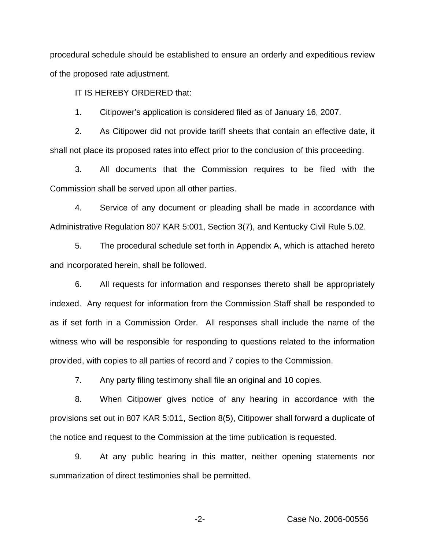procedural schedule should be established to ensure an orderly and expeditious review of the proposed rate adjustment.

IT IS HEREBY ORDERED that:

1. Citipower's application is considered filed as of January 16, 2007.

2. As Citipower did not provide tariff sheets that contain an effective date, it shall not place its proposed rates into effect prior to the conclusion of this proceeding.

3. All documents that the Commission requires to be filed with the Commission shall be served upon all other parties.

4. Service of any document or pleading shall be made in accordance with Administrative Regulation 807 KAR 5:001, Section 3(7), and Kentucky Civil Rule 5.02.

5. The procedural schedule set forth in Appendix A, which is attached hereto and incorporated herein, shall be followed.

6. All requests for information and responses thereto shall be appropriately indexed. Any request for information from the Commission Staff shall be responded to as if set forth in a Commission Order. All responses shall include the name of the witness who will be responsible for responding to questions related to the information provided, with copies to all parties of record and 7 copies to the Commission.

7. Any party filing testimony shall file an original and 10 copies.

8. When Citipower gives notice of any hearing in accordance with the provisions set out in 807 KAR 5:011, Section 8(5), Citipower shall forward a duplicate of the notice and request to the Commission at the time publication is requested.

9. At any public hearing in this matter, neither opening statements nor summarization of direct testimonies shall be permitted.

-2- Case No. 2006-00556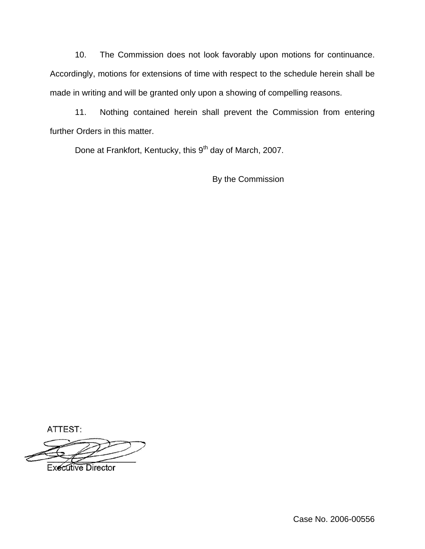10. The Commission does not look favorably upon motions for continuance. Accordingly, motions for extensions of time with respect to the schedule herein shall be made in writing and will be granted only upon a showing of compelling reasons.

11. Nothing contained herein shall prevent the Commission from entering further Orders in this matter.

Done at Frankfort, Kentucky, this 9<sup>th</sup> day of March, 2007.

By the Commission

ATTEST:

**Executive Director** 

Case No. 2006-00556